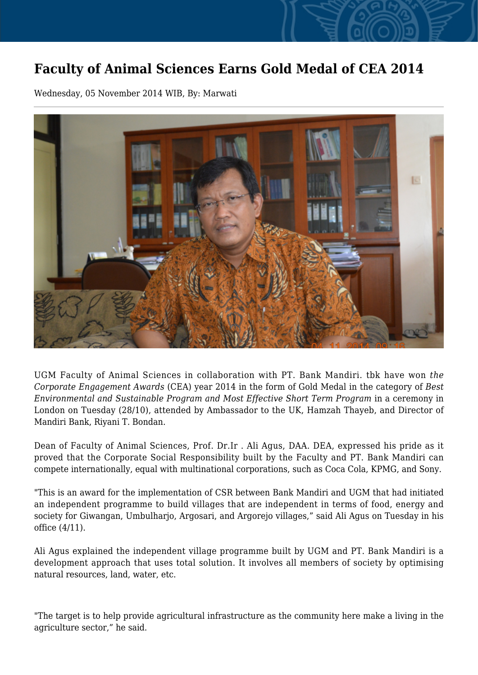## **Faculty of Animal Sciences Earns Gold Medal of CEA 2014**

Wednesday, 05 November 2014 WIB, By: Marwati



UGM Faculty of Animal Sciences in collaboration with PT. Bank Mandiri. tbk have won *the Corporate Engagement Awards* (CEA) year 2014 in the form of Gold Medal in the category of *Best Environmental and Sustainable Program and Most Effective Short Term Program* in a ceremony in London on Tuesday (28/10), attended by Ambassador to the UK, Hamzah Thayeb, and Director of Mandiri Bank, Riyani T. Bondan.

Dean of Faculty of Animal Sciences, Prof. Dr.Ir . Ali Agus, DAA. DEA, expressed his pride as it proved that the Corporate Social Responsibility built by the Faculty and PT. Bank Mandiri can compete internationally, equal with multinational corporations, such as Coca Cola, KPMG, and Sony.

"This is an award for the implementation of CSR between Bank Mandiri and UGM that had initiated an independent programme to build villages that are independent in terms of food, energy and society for Giwangan, Umbulharjo, Argosari, and Argorejo villages," said Ali Agus on Tuesday in his office (4/11).

Ali Agus explained the independent village programme built by UGM and PT. Bank Mandiri is a development approach that uses total solution. It involves all members of society by optimising natural resources, land, water, etc.

"The target is to help provide agricultural infrastructure as the community here make a living in the agriculture sector," he said.